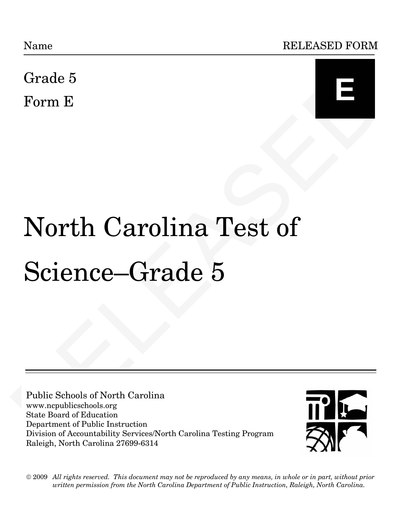Name RELEASED FORM

Grade 5 Form E



# $\begin{tabular}{l|l|l|} \hline \textbf{Grade 5} \\\hline \textbf{Form E} \\\hline \textbf{Norm} & \textbf{Carolina Test of} \\\ \hline \textbf{Science}-Grade & 5 \\\hline \textbf{Science} & \textbf{Grade 5} \\\hline \textbf{Public Stehols of North Carolina} \\\hline \textbf{Value Stehols of North Carolina} \\\hline \textbf{New Population of Boston} \\\hline \textbf{Dqind (FAlstein) System of Bayesian System} \\\hline \textbf{Dqind (FAlstein) System of the Project North Carolina Testing Program} \\\hline \end{tabular}$ North Carolina Test of Science—Grade 5

Public Schools of North Carolina www.ncpublicschools.org State Board of Education Department of Public Instruction Division of Accountability Services/North Carolina Testing Program Raleigh, North Carolina 27699-6314



 $\odot$  2009  $\,$  All rights reserved. This document may not be reproduced by any means, in whole or in part, without prior *written permission from the North Carolina Department of Public Instruction, Raleigh, North Carolina. written permission from the North Carolina Department of Public Instruction, Raleigh, North Carolina.*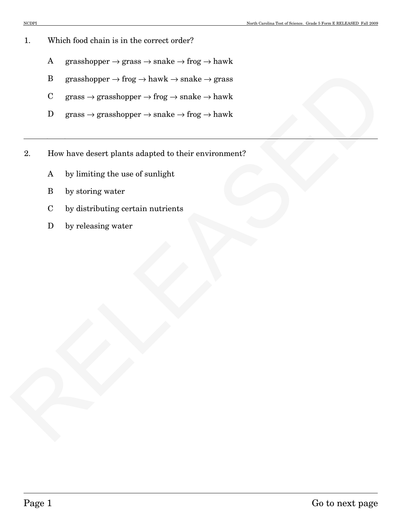- 1. Which food chain is in the correct order?
	- A grasshopper  $\rightarrow$  grass  $\rightarrow$  snake  $\rightarrow$  frog  $\rightarrow$  hawk
	- B grasshopper  $\rightarrow$  frog  $\rightarrow$  hawk  $\rightarrow$  snake  $\rightarrow$  grass
	- C grass  $\rightarrow$  grasshopper  $\rightarrow$  frog  $\rightarrow$  snake  $\rightarrow$  hawk
	- D grass  $\rightarrow$  grasshopper  $\rightarrow$  snake  $\rightarrow$  frog  $\rightarrow$  hawk
- B grasshopper  $\rightarrow$  frog  $\rightarrow$  hawk  $\rightarrow$  smake  $\rightarrow$  hawk<br>
C grass  $\rightarrow$  grasshopper  $\rightarrow$  frog  $\rightarrow$  smake  $\rightarrow$  hawk<br>
D grass  $\rightarrow$  grasshopper  $\rightarrow$  smake  $\rightarrow$  hawk<br>
Z. How have desert plans adapted to their environment?<br>
A by 2. How have desert plants adapted to their environment?
	- A by limiting the use of sunlight
	- B by storing water
	- C by distributing certain nutrients
	- D by releasing water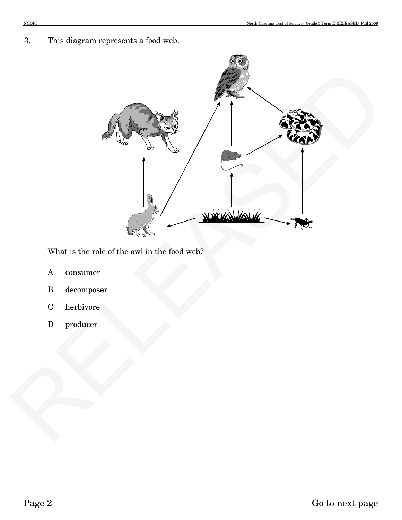3. This diagram represents a food web.



What is the role of the owl in the food web?

- A consumer
- B decomposer
- C herbivore
- D producer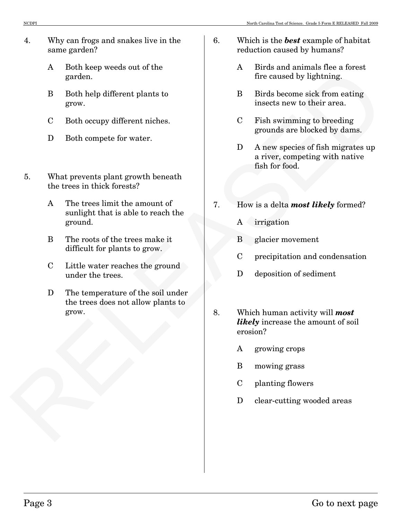- 4. Why can frogs and snakes live in the same garden?
	- A Both keep weeds out of the garden.
	- B Both help different plants to grow.
	- C Both occupy different niches.
	- D Both compete for water.
- 5. What prevents plant growth beneath the trees in thick forests?
	- A The trees limit the amount of sunlight that is able to reach the ground.
	- B The roots of the trees make it difficult for plants to grow.
	- C Little water reaches the ground under the trees.
	- D The temperature of the soil under the trees does not allow plants to grow.
- 6. Which is the *best* example of habitat reduction caused by humans?
	- A Birds and animals flee a forest fire caused by lightning.
	- B Birds become sick from eating insects new to their area.
	- C Fish swimming to breeding grounds are blocked by dams.
	- D A new species of fish migrates up a river, competing with native fish for food.
- 7. How is a delta *most likely* formed?
	- A irrigation
	- B glacier movement
	- C precipitation and condensation
	- D deposition of sediment
- A point and the mean term of the column of the control of the control of the control of the state of the street of the street of the street of the street of the street of the street of the street of the street of the stree 8. Which human activity will *most likely* increase the amount of soil erosion?
	- A growing crops
	- B mowing grass
	- C planting flowers
	- D clear-cutting wooded areas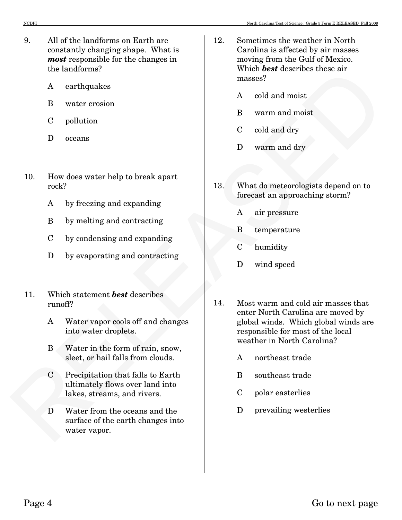- 9. All of the landforms on Earth are constantly changing shape. What is *most* responsible for the changes in the landforms?
	- A earthquakes
	- B water erosion
	- C pollution
	- D oceans
- 10. How does water help to break apart rock?
	- A by freezing and expanding
	- B by melting and contracting
	- C by condensing and expanding
	- D by evaporating and contracting
- 11. Which statement *best* describes runoff?
	- A Water vapor cools off and changes into water droplets.
	- B Water in the form of rain, snow, sleet, or hail falls from clouds.
	- C Precipitation that falls to Earth ultimately flows over land into lakes, streams, and rivers.
	- D Water from the oceans and the surface of the earth changes into water vapor.
- 12. Sometimes the weather in North Carolina is affected by air masses moving from the Gulf of Mexico. Which *best* describes these air masses?
	- A cold and moist
	- B warm and moist
	- C cold and dry
	- D warm and dry
- 13. What do meteorologists depend on to forecast an approaching storm?
	- A air pressure
	- B temperature
	- C humidity
	- D wind speed
- 10. Intervintendent methods and the methods of the collection of the collection of Polentician and the methods of the collection of the collection of the collection of the collection of the collection of the method of the 14. Most warm and cold air masses that enter North Carolina are moved by global winds. Which global winds are responsible for most of the local weather in North Carolina?
	- A northeast trade
	- B southeast trade
	- C polar easterlies
	- D prevailing westerlies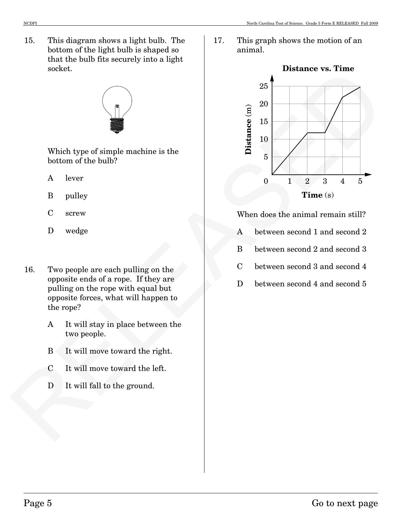15. This diagram shows a light bulb. The bottom of the light bulb is shaped so that the bulb fits securely into a light socket.



Which type of simple machine is the bottom of the bulb?

- A lever
- B pulley
- C screw
- D wedge
- 16. Two people are each pulling on the opposite ends of a rope. If they are pulling on the rope with equal but opposite forces, what will happen to the rope?
	- A It will stay in place between the two people.
	- B It will move toward the right.
	- C It will move toward the left.
	- D It will fall to the ground.

17. This graph shows the motion of an animal.



When does the animal remain still?

- A between second 1 and second 2
- B between second 2 and second 3
- C between second 3 and second 4
- D between second 4 and second 5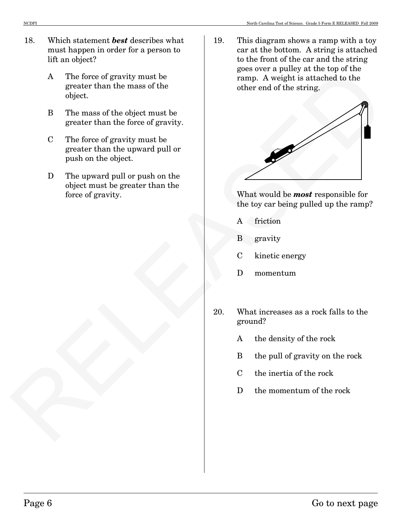- 18. Which statement *best* describes what must happen in order for a person to lift an object?
	- A The force of gravity must be greater than the mass of the object.
	- B The mass of the object must be greater than the force of gravity.
	- C The force of gravity must be greater than the upward pull or push on the object.
	- D The upward pull or push on the object must be greater than the force of gravity.

19. This diagram shows a ramp with a toy car at the bottom. A string is attached to the front of the car and the string goes over a pulley at the top of the ramp. A weight is attached to the other end of the string.



What would be *most* responsible for the toy car being pulled up the ramp?

- A friction
- B gravity
- C kinetic energy
- D momentum
- 20. What increases as a rock falls to the ground?
	- A the density of the rock
	- B the pull of gravity on the rock
	- C the inertia of the rock
	- D the momentum of the rock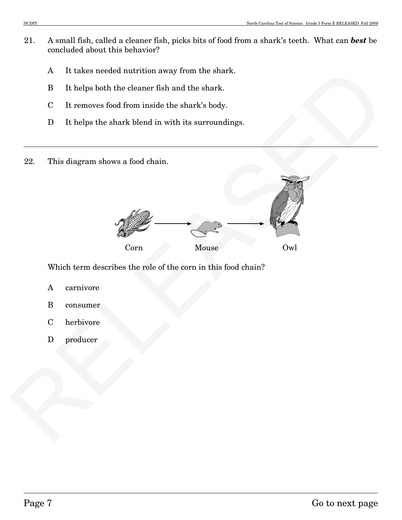- 21. A small fish, called a cleaner fish, picks bits of food from a shark's teeth. What can *best* be concluded about this behavior?
	- A It takes needed nutrition away from the shark.
	- B It helps both the cleaner fish and the shark.
	- C It removes food from inside the shark's body.
	- D It helps the shark blend in with its surroundings.
- 22. This diagram shows a food chain.



Which term describes the role of the corn in this food chain?

- A carnivore
- B consumer
- C herbivore
- D producer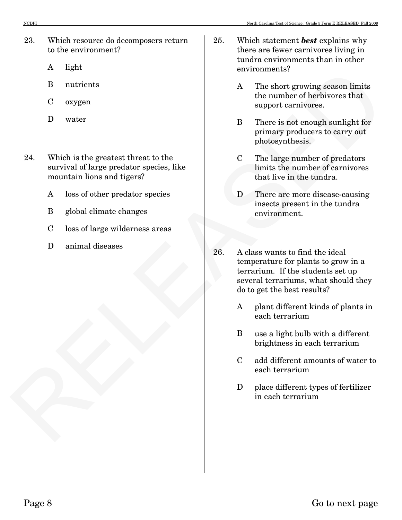- 23. Which resource do decomposers return to the environment?
	- A light
	- B nutrients
	- C oxygen
	- D water
- 24. Which is the greatest threat to the survival of large predator species, like mountain lions and tigers?
	- A loss of other predator species
	- B global climate changes
	- C loss of large wilderness areas
	- D animal diseases
- 25. Which statement *best* explains why there are fewer carnivores living in tundra environments than in other environments?
	- A The short growing season limits the number of herbivores that support carnivores.
	- B There is not enough sunlight for primary producers to carry out photosynthesis.
	- C The large number of predators limits the number of carnivores that live in the tundra.
	- D There are more disease-causing insects present in the tundra environment.
- Figure 12<br>
24 The short growing season limits<br>
Corygen<br>
Doutsile: Uncertainty and the proposition of the<br>
intervention of the complete state of the complete state of the complete<br>
State and the growing produce of the compl 26. A class wants to find the ideal temperature for plants to grow in a terrarium. If the students set up several terrariums, what should they do to get the best results?
	- A plant different kinds of plants in each terrarium
	- B use a light bulb with a different brightness in each terrarium
	- C add different amounts of water to each terrarium
	- D place different types of fertilizer in each terrarium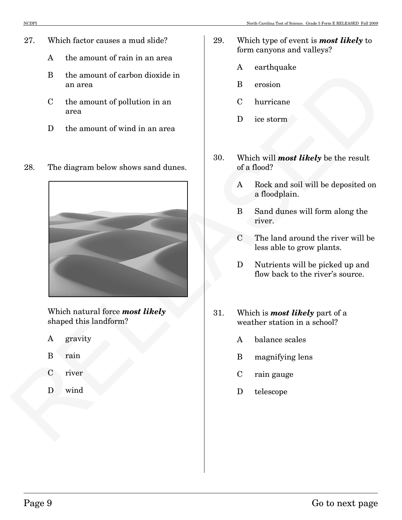- 27. Which factor causes a mud slide?
	- A the amount of rain in an area
	- B the amount of carbon dioxide in an area
	- C the amount of pollution in an area
	- D the amount of wind in an area
- 28. The diagram below shows sand dunes.



Which natural force *most likely* shaped this landform?

- A gravity
- B rain
- C river
- D wind
- 29. Which type of event is *most likely* to form canyons and valleys?
	- A earthquake
	- B erosion
	- C hurricane
	- D ice storm
- 30. Which will *most likely* be the result of a flood?
	- A Rock and soil will be deposited on a floodplain.
	- B Sand dunes will form along the river.
	- C The land around the river will be less able to grow plants.
	- D Nutrients will be picked up and flow back to the river's source.
- 31. Which is *most likely* part of a weather station in a school?
	- A balance scales
	- B magnifying lens
	- C rain gauge
	- D telescope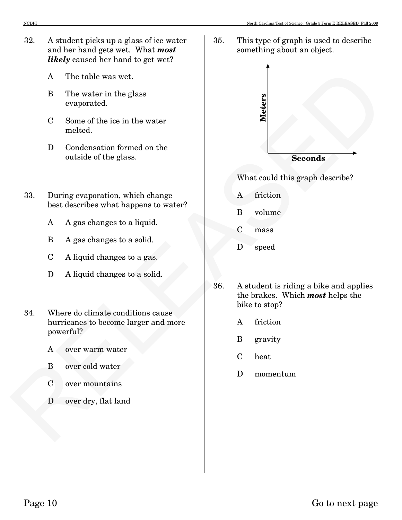- 32. A student picks up a glass of ice water and her hand gets wet. What *most likely* caused her hand to get wet?
	- A The table was wet.
	- B The water in the glass evaporated.
	- C Some of the ice in the water melted.
	- D Condensation formed on the outside of the glass.
- 33. During evaporation, which change best describes what happens to water?
	- A A gas changes to a liquid.
	- B A gas changes to a solid.
	- C A liquid changes to a gas.
	- D A liquid changes to a solid.
- 34. Where do climate conditions cause hurricanes to become larger and more powerful?
	- A over warm water
	- B over cold water
	- C over mountains
	- D over dry, flat land

35. This type of graph is used to describe something about an object.



What could this graph describe?

- A friction
- B volume
- C mass
- D speed
- 36. A student is riding a bike and applies the brakes. Which *most* helps the bike to stop?
	- A friction
	- B gravity
	- C heat
	- D momentum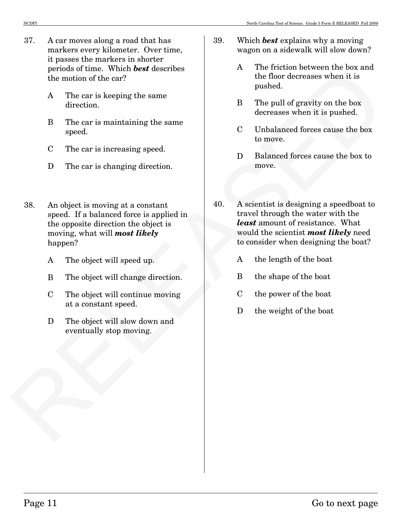- 37. A car moves along a road that has markers every kilometer. Over time, it passes the markers in shorter periods of time. Which *best* describes the motion of the car?
	- A The car is keeping the same direction.
	- B The car is maintaining the same speed.
	- C The car is increasing speed.
	- D The car is changing direction.
- 38. An object is moving at a constant speed. If a balanced force is applied in the opposite direction the object is moving, what will *most likely* happen?
	- A The object will speed up.
	- B The object will change direction.
	- C The object will continue moving at a constant speed.
	- D The object will slow down and eventually stop moving.
- 39. Which *best* explains why a moving wagon on a sidewalk will slow down?
	- A The friction between the box and the floor decreases when it is pushed.
	- B The pull of gravity on the box decreases when it is pushed.
	- C Unbalanced forces cause the box to move.
	- D Balanced forces cause the box to move.
- beneads of the energy Which the main of the energy<br>
A The particular the energy due sumer and the form of the energy due sumer<br>
A The particular distribution of the energy due sumer<br>
<br>
RELEASED The eart is increasing spee 40. A scientist is designing a speedboat to travel through the water with the *least* amount of resistance. What would the scientist *most likely* need to consider when designing the boat?
	- A the length of the boat
	- B the shape of the boat
	- C the power of the boat
	- D the weight of the boat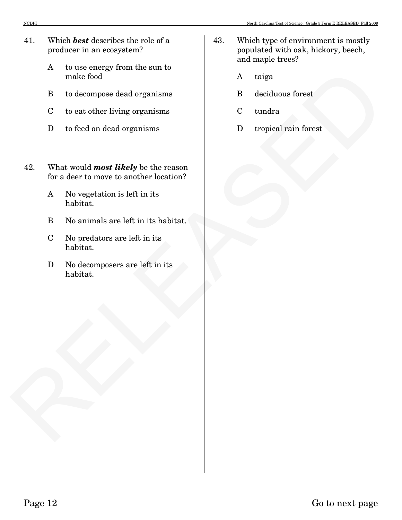- 41. Which *best* describes the role of a producer in an ecosystem?
	- A to use energy from the sun to make food
	- B to decompose dead organisms
	- C to eat other living organisms
	- D to feed on dead organisms
- A trajectory and the matrix of the matrix of the matrix and the matrix of the decompose dend organisms and the control of the control of the control of the control of the control of the control of the control of the matrix 42. What would *most likely* be the reason for a deer to move to another location?
	- A No vegetation is left in its habitat.
	- B No animals are left in its habitat.
	- C No predators are left in its habitat.
	- D No decomposers are left in its habitat.
- 43. Which type of environment is mostly populated with oak, hickory, beech, and maple trees?
	- A taiga
	- B deciduous forest
	- C tundra
	- D tropical rain forest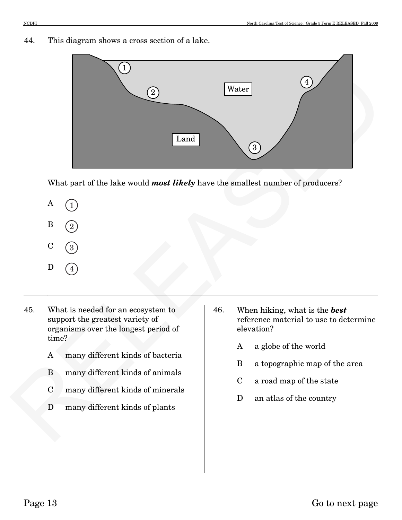## 44. This diagram shows a cross section of a lake.



What part of the lake would *most likely* have the smallest number of producers?



- 45. What is needed for an ecosystem to support the greatest variety of organisms over the longest period of time?
	- A many different kinds of bacteria
	- B many different kinds of animals
	- C many different kinds of minerals
	- D many different kinds of plants
- 46. When hiking, what is the *best* reference material to use to determine elevation?
	- A a globe of the world
	- B a topographic map of the area
	- C a road map of the state
	- D an atlas of the country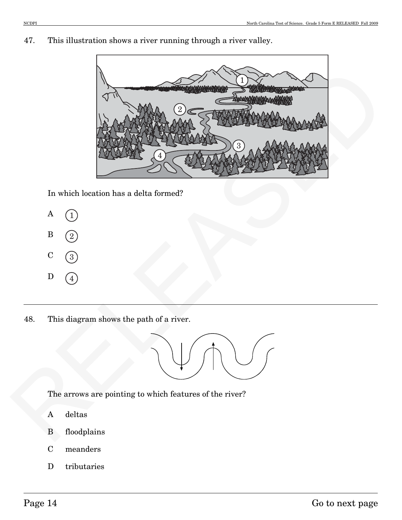47. This illustration shows a river running through a river valley.



In which location has a delta formed?



48. This diagram shows the path of a river.



The arrows are pointing to which features of the river?

- A deltas
- B floodplains
- C meanders
- D tributaries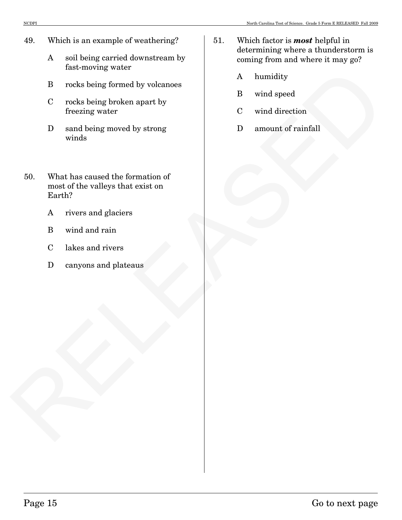- 49. Which is an example of weathering?
	- A soil being carried downstream by fast-moving water
	- B rocks being formed by volcanoes
	- C rocks being broken apart by freezing water
	- D sand being moved by strong winds
- Face traveling watter<br>
In reck being formed by volume a<br>
C reck being broken apart by<br>
C reck being broken apart by<br>
C recht and watter<br>
D untout of runnel watter<br>
D amount of runnel<br>
So. What has caused the formation of<br> 50. What has caused the formation of most of the valleys that exist on Earth?
	- A rivers and glaciers
	- B wind and rain
	- C lakes and rivers
	- D canyons and plateaus
- 51. Which factor is *most* helpful in determining where a thunderstorm is coming from and where it may go?
	- A humidity
	- B wind speed
	- C wind direction
	- D amount of rainfall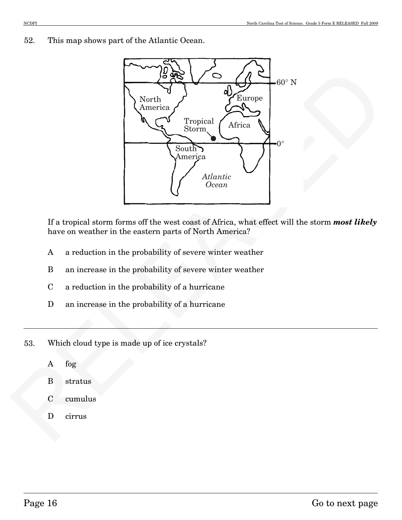52. This map shows part of the Atlantic Ocean.



If a tropical storm forms off the west coast of Africa, what effect will the storm *most likely* have on weather in the eastern parts of North America?

- A a reduction in the probability of severe winter weather
- B an increase in the probability of severe winter weather
- C a reduction in the probability of a hurricane
- D an increase in the probability of a hurricane
- 53. Which cloud type is made up of ice crystals?
	- A fog
	- B stratus
	- C cumulus
	- D cirrus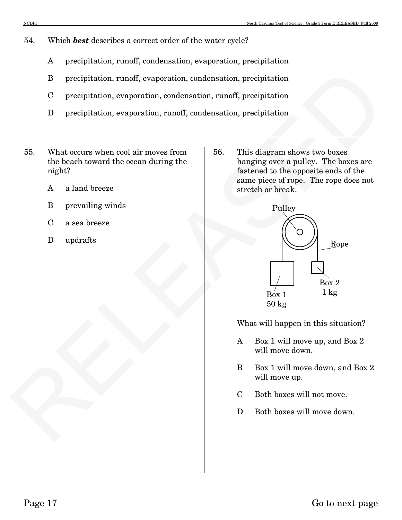- 54. Which *best* describes a correct order of the water cycle?
	- A precipitation, runoff, condensation, evaporation, precipitation
	- B precipitation, runoff, evaporation, condensation, precipitation
	- C precipitation, evaporation, condensation, runoff, precipitation
	- D precipitation, evaporation, runoff, condensation, precipitation
- 55. What occurs when cool air moves from the beach toward the ocean during the night?
	- A a land breeze
	- B prevailing winds
	- C a sea breeze
	- D updrafts

56. This diagram shows two boxes hanging over a pulley. The boxes are fastened to the opposite ends of the same piece of rope. The rope does not stretch or break.



What will happen in this situation?

- A Box 1 will move up, and Box 2 will move down.
- B Box 1 will move down, and Box 2 will move up.
- C Both boxes will not move.
- D Both boxes will move down.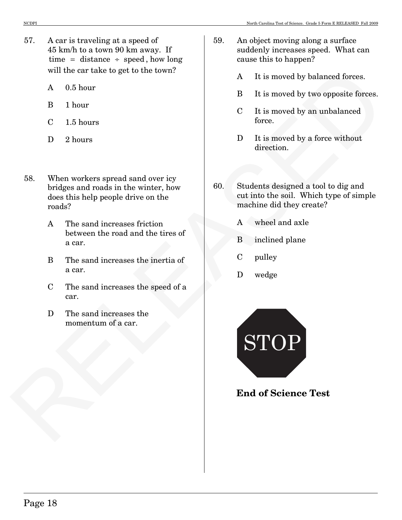- 57. A car is traveling at a speed of 45 km/h to a town 90 km away. If  $time = distance + speed, how long$ will the car take to get to the town?
	- A 0.5 hour
	- B 1 hour
	- C 1.5 hours
	- D 2 hours
- 58. When workers spread sand over icy bridges and roads in the winter, how does this help people drive on the roads?
	- A The sand increases friction between the road and the tires of a car.
	- B The sand increases the inertia of a car.
	- C The sand increases the speed of a car.
	- D The sand increases the momentum of a car.
- 59. An object moving along a surface suddenly increases speed. What can cause this to happen?
	- A It is moved by balanced forces.
	- B It is moved by two opposite forces.
	- C It is moved by an unbalanced force.
	- D It is moved by a force without direction.
- 60. Students designed a tool to dig and cut into the soil. Which type of simple machine did they create?
	- A wheel and axle
	- B inclined plane
	- C pulley
	- D wedge



**End of Science Test**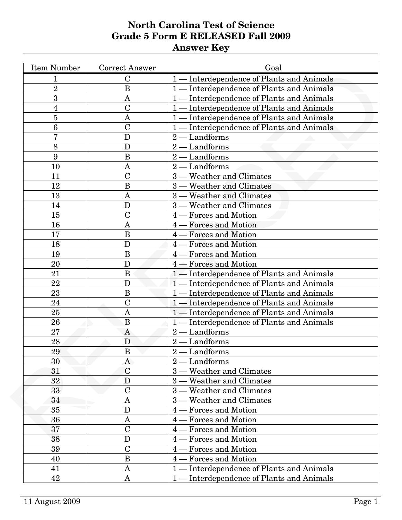# **North Carolina Test of Science Grade 5 Form E RELEASED Fall 2009 Answer Key**

| <b>Item Number</b> | <b>Correct Answer</b> | Goal                                       |
|--------------------|-----------------------|--------------------------------------------|
| 1                  | $\mathbf C$           | 1 — Interdependence of Plants and Animals  |
| $\overline{2}$     | B                     | 1 — Interdependence of Plants and Animals  |
| 3                  | $\mathbf{A}$          | 1 - Interdependence of Plants and Animals  |
| 4                  | $\overline{\rm C}$    | 1 — Interdependence of Plants and Animals  |
| 5                  | A                     | 1 - Interdependence of Plants and Animals  |
| 6                  | $\mathbf C$           | 1 — Interdependence of Plants and Animals  |
| 7                  | D                     | $2 -$ Landforms                            |
| 8                  | D                     | $2 -$ Landforms                            |
| 9                  | B                     | - Landforms<br>$2 -$                       |
| 10                 | A                     | $2\cdot$<br>- Landforms                    |
| 11                 | $\overline{C}$        | 3 - Weather and Climates                   |
| 12                 | $\overline{B}$        | 3 — Weather and Climates                   |
| 13                 | A                     | 3 — Weather and Climates                   |
| 14                 | D                     | 3 — Weather and Climates                   |
| 15                 | $\overline{C}$        | 4 – Forces and Motion                      |
| 16                 | A                     | <b>Forces and Motion</b><br>$4-$           |
| 17                 | $\boldsymbol{B}$      | <b>Forces and Motion</b><br>$4 \cdot$      |
| 18                 | D                     | <b>Forces and Motion</b><br>4 -            |
| 19                 | $\overline{B}$        | - Forces and Motion<br>$4 \cdot$           |
| 20                 | D                     | 4 – Forces and Motion                      |
| 21                 | $\overline{B}$        | 1 — Interdependence of Plants and Animals  |
| 22                 | D                     | 1 — Interdependence of Plants and Animals  |
| 23                 | $\boldsymbol{B}$      | 1 — Interdependence of Plants and Animals  |
| 24                 | $\mathcal{C}$         | 1 — Interdependence of Plants and Animals  |
| 25                 | $\mathbf{A}$          | 1 — Interdependence of Plants and Animals  |
| 26                 | B                     | 1 - Interdependence of Plants and Animals  |
| 27                 | $\mathbf{A}$          | $2 -$ Landforms                            |
| 28                 | D                     | $2 -$ Landforms                            |
| 29                 | B                     | $2 -$ Landforms                            |
| 30                 | A                     | $2 -$ Landforms                            |
| 31                 | $\overline{C}$        | 3 - Weather and Climates                   |
| 32                 | $\mathbf{D}$          | 3 — Weather and Climates                   |
| 33                 | $\overline{C}$        | 3 - Weather and Climates                   |
| 34                 | $\mathbf{A}$          | 3 - Weather and Climates                   |
| 35                 | D                     | 4 – Forces and Motion                      |
| 36                 | A                     | <b>Forces and Motion</b><br>$\overline{4}$ |
| 37                 | $\overline{C}$        | Forces and Motion<br>4 -                   |
| 38                 | D                     | - Forces and Motion<br>$4 \cdot$           |
| 39                 | $\overline{C}$        | - Forces and Motion<br>$4 -$               |
| 40                 | $\boldsymbol{B}$      | 4 – Forces and Motion                      |
| 41                 | A                     | 1 - Interdependence of Plants and Animals  |
| 42                 | $\mathbf{A}$          | 1 — Interdependence of Plants and Animals  |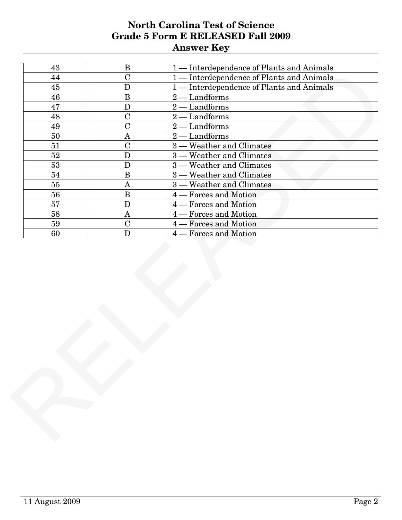# **North Carolina Test of Science Grade 5 Form E RELEASED Fall 2009 Answer Key**

| 43 |                |                                           |
|----|----------------|-------------------------------------------|
|    | $\bf{B}$       | 1 — Interdependence of Plants and Animals |
| 44 | $\overline{C}$ | 1 — Interdependence of Plants and Animals |
| 45 | ${\bf D}$      | 1 — Interdependence of Plants and Animals |
| 46 | $\, {\bf B}$   | $2 -$ Landforms                           |
| 47 | ${\bf D}$      | $2 -$ Landforms                           |
| 48 | $\mathbf C$    | - Landforms<br>$2 -$                      |
| 49 | $\overline{C}$ | $2 -$<br>- Landforms                      |
| 50 | $\bf A$        | $-Landforms$<br>$2 -$                     |
| 51 | $\overline{C}$ | 3 — Weather and Climates                  |
| 52 | ${\bf D}$      | $3$ .<br>Weather and Climates             |
| 53 | $\mathbf D$    | 3 — Weather and Climates                  |
| 54 | $\overline{B}$ | $3 -$<br>- Weather and Climates           |
| 55 | $\bf A$        | $3 -$<br>- Weather and Climates           |
| 56 | $\, {\bf B}$   | <b>Forces and Motion</b><br>$4 \cdot$     |
| 57 | $\mathbf D$    | - Forces and Motion<br>$4 -$              |
| 58 | $\bf A$        | <b>Forces and Motion</b><br>$4 \cdot$     |
| 59 | ${\bf C}$      | - Forces and Motion<br>4.                 |
| 60 | $\mathbf D$    | - Forces and Motion<br>$4 -$              |
|    |                |                                           |
|    |                |                                           |
|    |                |                                           |
|    |                |                                           |
|    |                |                                           |
|    |                |                                           |
|    |                |                                           |
|    |                |                                           |
|    |                |                                           |
|    |                |                                           |
|    |                |                                           |
|    |                |                                           |
|    |                |                                           |
|    |                |                                           |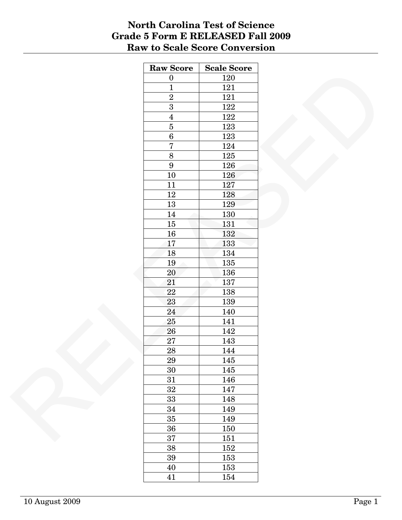# **North Carolina Test of Science Grade 5 Form E RELEASED Fall 2009 Raw to Scale Score Conversion**

| <b>Raw Score</b> | <b>Scale Score</b> |
|------------------|--------------------|
| $\boldsymbol{0}$ | 120                |
| $\overline{1}$   | 121                |
| $\overline{2}$   | 121                |
| $\overline{3}$   | 122                |
| $\overline{4}$   | 122                |
| $\overline{5}$   | 123                |
| $\overline{6}$   | 123                |
| $\overline{7}$   | 124                |
| $\overline{8}$   | 125                |
| $\boldsymbol{9}$ | 126                |
| $10\,$           | 126                |
| 11               | 127                |
| $12\,$           | 128                |
| $13\,$           | 129                |
| $14\,$           | 130                |
| $15\,$           | 131                |
| $16\,$           | 132                |
| 17               | 133                |
| 18               | 134                |
| $19\,$           | 135                |
| $20\,$           | 136                |
| 21               | 137                |
| $22\,$           |                    |
|                  | 138                |
| 23               | 139                |
| 24               | 140                |
| $25\,$           | 141                |
| ${\bf 26}$       | 142                |
| 27               | 143                |
| $\overline{28}$  | 144                |
| 29               | 145                |
| 30               | $145\,$            |
| 31               | 146                |
| 32               | 147                |
| 33               | 148                |
| 34               | 149                |
| $35\,$           | 149                |
| 36               | 150                |
| 37               | 151                |
| $38\,$           | 152                |
| $39\,$           | 153                |
| 40               | 153                |
| 41               | 154                |
|                  |                    |